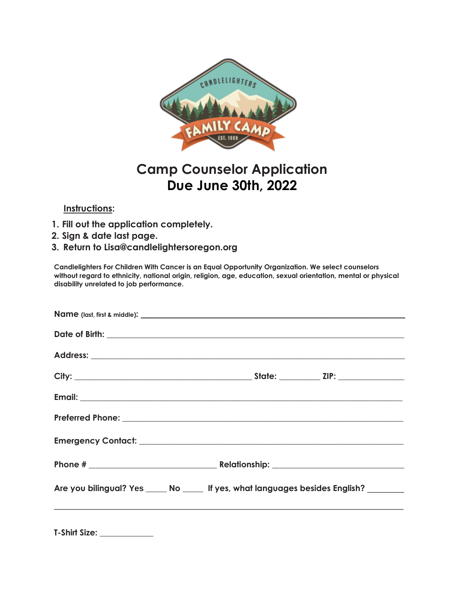

## **Camp Counselor Application Due June 30th, 2022**

## **Instructions:**

- **1. Fill out the application completely.**
- **2. Sign & date last page.**
- **3. Return to Lisa@candlelightersoregon.org**

**Candlelighters For Children With Cancer is an Equal Opportunity Organization. We select counselors without regard to ethnicity, national origin, religion, age, education, sexual orientation, mental or physical disability unrelated to job performance.**

|                           | Are you bilingual? Yes _____ No _____ If yes, what languages besides English? _______ |
|---------------------------|---------------------------------------------------------------------------------------|
| T-Shirt Size: ___________ |                                                                                       |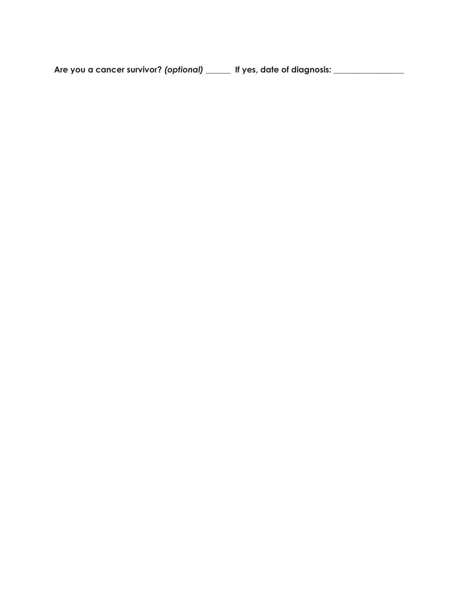**Are you a cancer survivor?** *(optional)* **\_\_\_\_\_\_ If yes, date of diagnosis: \_\_\_\_\_\_\_\_\_\_\_\_\_\_\_\_\_**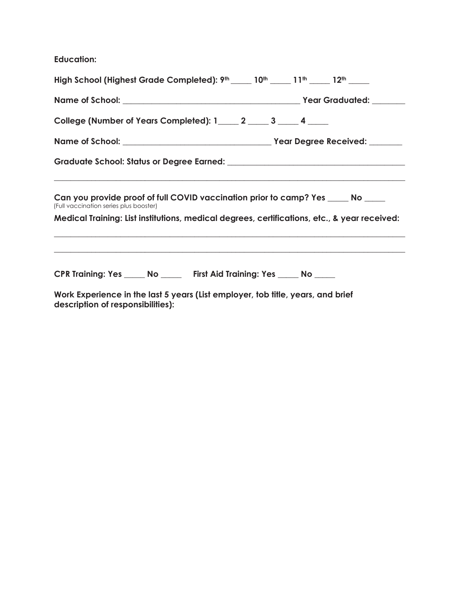**Education:**

| High School (Highest Grade Completed): 9th 10th 10th 11th 12th 12th 12th                                                   |  |  |  |  |  |  |
|----------------------------------------------------------------------------------------------------------------------------|--|--|--|--|--|--|
|                                                                                                                            |  |  |  |  |  |  |
| College (Number of Years Completed): 1 _____ 2 _____ 3 _____ 4 ____                                                        |  |  |  |  |  |  |
|                                                                                                                            |  |  |  |  |  |  |
|                                                                                                                            |  |  |  |  |  |  |
| Can you provide proof of full COVID vaccination prior to camp? Yes _____ No ____<br>(Full vaccination series plus booster) |  |  |  |  |  |  |
| Medical Training: List institutions, medical degrees, certifications, etc., & year received:                               |  |  |  |  |  |  |
|                                                                                                                            |  |  |  |  |  |  |
| CPR Training: Yes _____ No ______ First Aid Training: Yes _____ No _____                                                   |  |  |  |  |  |  |
| Work Experience in the last 5 years (List employer, tob title, years, and brief<br>description of responsibilities):       |  |  |  |  |  |  |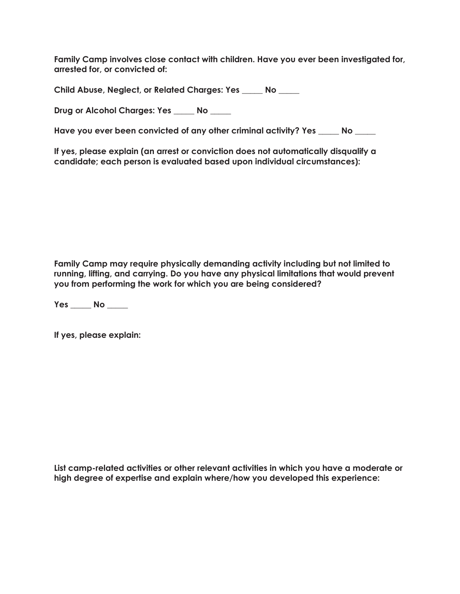**Family Camp involves close contact with children. Have you ever been investigated for, arrested for, or convicted of:**

**Child Abuse, Neglect, or Related Charges: Yes** \_\_\_\_\_ **No** \_\_\_\_\_

**Drug or Alcohol Charges: Yes** \_\_\_\_\_ **No** \_\_\_\_\_

**Have you ever been convicted of any other criminal activity? Yes** \_\_\_\_\_ **No** \_\_\_\_\_

**If yes, please explain (an arrest or conviction does not automatically disqualify a candidate; each person is evaluated based upon individual circumstances):**

**Family Camp may require physically demanding activity including but not limited to running, lifting, and carrying. Do you have any physical limitations that would prevent you from performing the work for which you are being considered?**

**Yes** \_\_\_\_\_ **No** \_\_\_\_\_

**If yes, please explain:**

**List camp-related activities or other relevant activities in which you have a moderate or high degree of expertise and explain where/how you developed this experience:**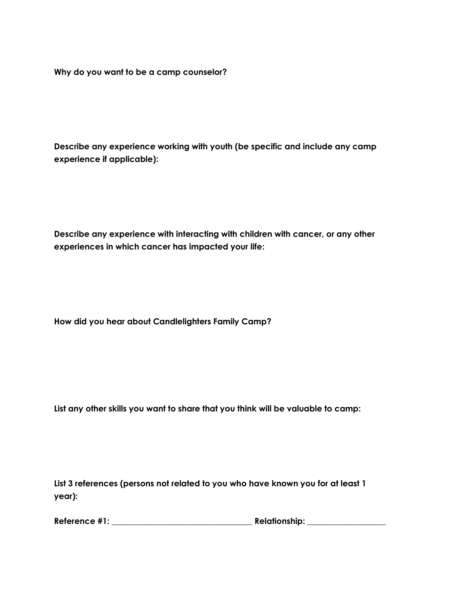**Why do you want to be a camp counselor?**

**Describe any experience working with youth (be specific and include any camp experience if applicable):**

**Describe any experience with interacting with children with cancer, or any other experiences in which cancer has impacted your life:**

**How did you hear about Candlelighters Family Camp?**

**List any other skills you want to share that you think will be valuable to camp:**

**List 3 references (persons not related to you who have known you for at least 1 year):**

| Reference #1: | <b>Relationship:</b> |
|---------------|----------------------|
|---------------|----------------------|